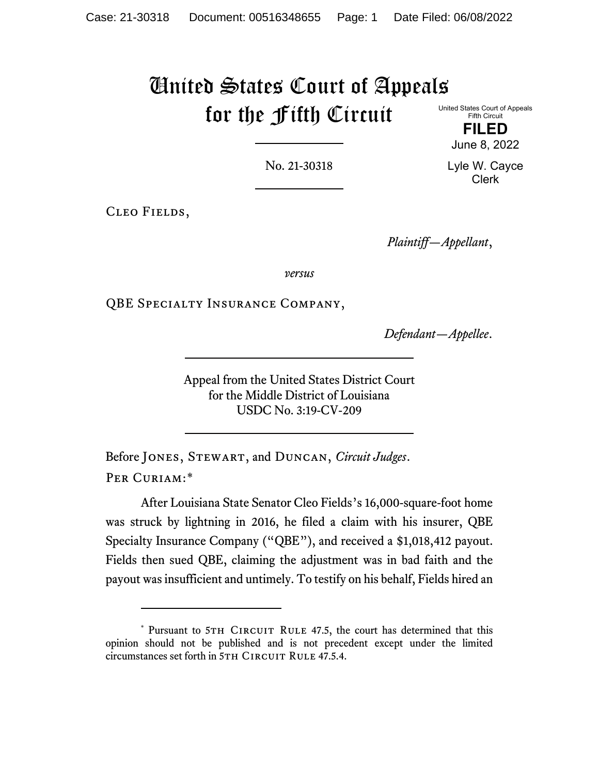# United States Court of Appeals for the Fifth Circuit

United States Court of Appeals Fifth Circuit

> **FILED** June 8, 2022

No. 21-30318

Lyle W. Cayce Clerk

Cleo Fields,

*Plaintiff—Appellant*,

*versus*

QBE Specialty Insurance Company,

*Defendant—Appellee*.

Appeal from the United States District Court for the Middle District of Louisiana USDC No. 3:19-CV-209

Before Jones, Stewart, and Duncan, *Circuit Judges*. PER CURIAM:[\\*](#page-0-0)

After Louisiana State Senator Cleo Fields's 16,000-square-foot home was struck by lightning in 2016, he filed a claim with his insurer, QBE Specialty Insurance Company ("QBE"), and received a \$1,018,412 payout. Fields then sued QBE, claiming the adjustment was in bad faith and the payout was insufficient and untimely. To testify on his behalf, Fields hired an

<span id="page-0-0"></span><sup>\*</sup> Pursuant to 5TH CIRCUIT RULE 47.5, the court has determined that this opinion should not be published and is not precedent except under the limited circumstances set forth in 5TH CIRCUIT RULE 47.5.4.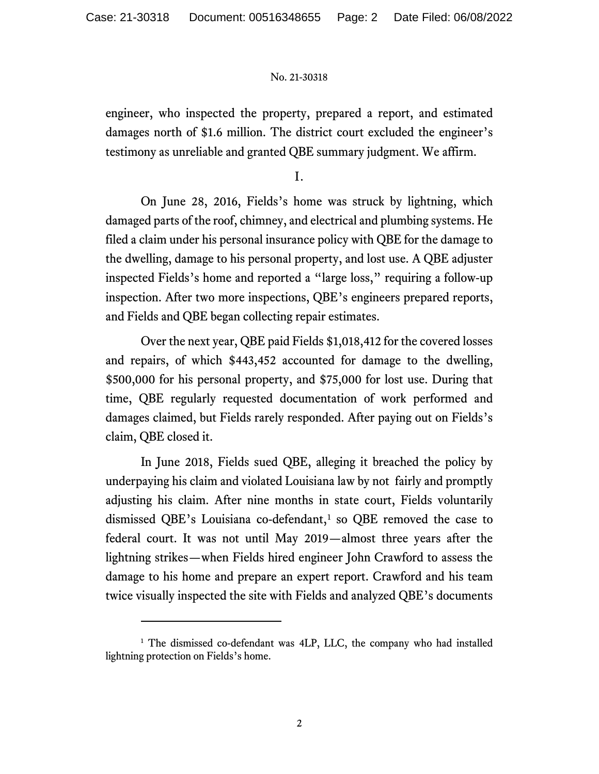engineer, who inspected the property, prepared a report, and estimated damages north of \$1.6 million. The district court excluded the engineer's testimony as unreliable and granted QBE summary judgment. We affirm.

I.

On June 28, 2016, Fields's home was struck by lightning, which damaged parts of the roof, chimney, and electrical and plumbing systems. He filed a claim under his personal insurance policy with QBE for the damage to the dwelling, damage to his personal property, and lost use. A QBE adjuster inspected Fields's home and reported a "large loss," requiring a follow-up inspection. After two more inspections, QBE's engineers prepared reports, and Fields and QBE began collecting repair estimates.

Over the next year, QBE paid Fields \$1,018,412 for the covered losses and repairs, of which \$443,452 accounted for damage to the dwelling, \$500,000 for his personal property, and \$75,000 for lost use. During that time, QBE regularly requested documentation of work performed and damages claimed, but Fields rarely responded. After paying out on Fields's claim, QBE closed it.

In June 2018, Fields sued QBE, alleging it breached the policy by underpaying his claim and violated Louisiana law by not fairly and promptly adjusting his claim. After nine months in state court, Fields voluntarily dismissed QBE's Louisiana co-defendant, $<sup>1</sup>$  $<sup>1</sup>$  $<sup>1</sup>$  so QBE removed the case to</sup> federal court. It was not until May 2019—almost three years after the lightning strikes—when Fields hired engineer John Crawford to assess the damage to his home and prepare an expert report. Crawford and his team twice visually inspected the site with Fields and analyzed QBE's documents

<span id="page-1-0"></span><sup>&</sup>lt;sup>1</sup> The dismissed co-defendant was 4LP, LLC, the company who had installed lightning protection on Fields's home.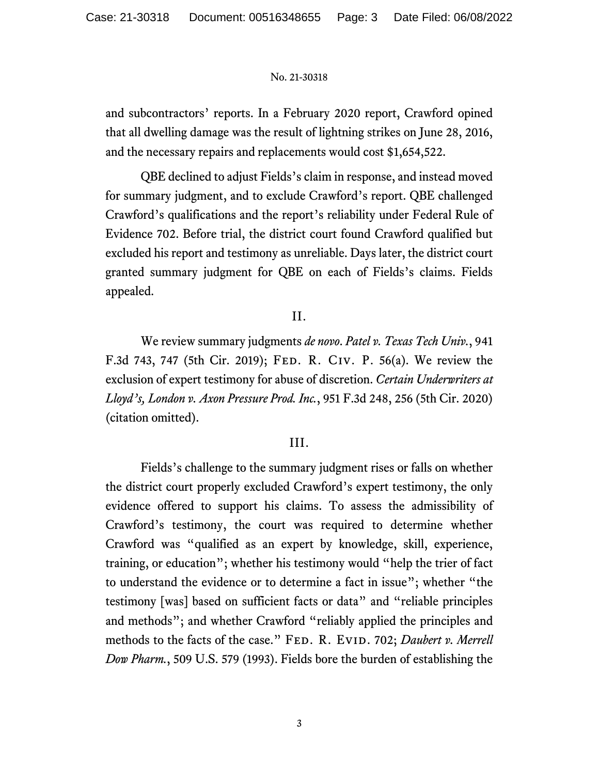and subcontractors' reports. In a February 2020 report, Crawford opined that all dwelling damage was the result of lightning strikes on June 28, 2016, and the necessary repairs and replacements would cost \$1,654,522.

QBE declined to adjust Fields's claim in response, and instead moved for summary judgment, and to exclude Crawford's report. QBE challenged Crawford's qualifications and the report's reliability under Federal Rule of Evidence 702. Before trial, the district court found Crawford qualified but excluded his report and testimony as unreliable. Days later, the district court granted summary judgment for QBE on each of Fields's claims. Fields appealed.

## II.

We review summary judgments *de novo*. *Patel v. Texas Tech Univ.*, 941 F.3d 743, 747 (5th Cir. 2019); Fed. R. Civ. P. 56(a). We review the exclusion of expert testimony for abuse of discretion. *Certain Underwriters at Lloyd's, London v. Axon Pressure Prod. Inc.*, 951 F.3d 248, 256 (5th Cir. 2020) (citation omitted).

## III.

Fields's challenge to the summary judgment rises or falls on whether the district court properly excluded Crawford's expert testimony, the only evidence offered to support his claims. To assess the admissibility of Crawford's testimony, the court was required to determine whether Crawford was "qualified as an expert by knowledge, skill, experience, training, or education"; whether his testimony would "help the trier of fact to understand the evidence or to determine a fact in issue"; whether "the testimony [was] based on sufficient facts or data" and "reliable principles and methods"; and whether Crawford "reliably applied the principles and methods to the facts of the case." FED. R. EVID. 702; *Daubert v. Merrell Dow Pharm.*, 509 U.S. 579 (1993). Fields bore the burden of establishing the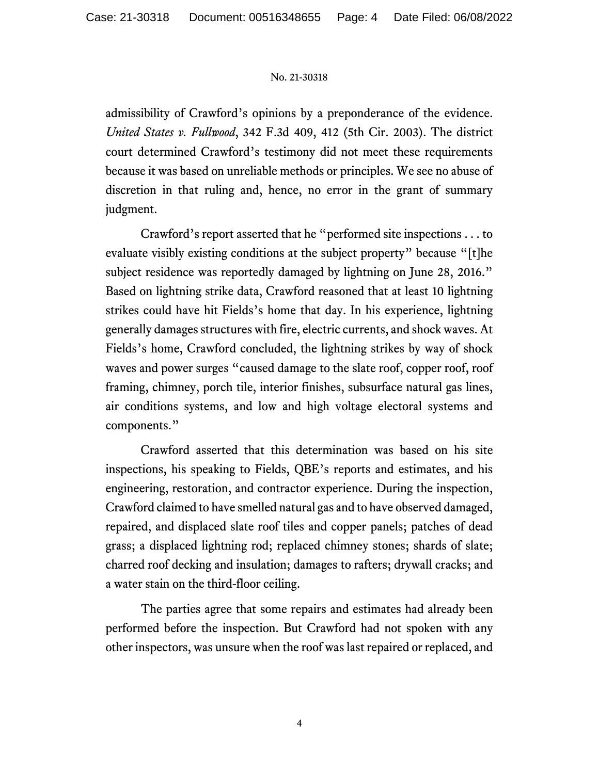admissibility of Crawford's opinions by a preponderance of the evidence. *United States v. Fullwood*, 342 F.3d 409, 412 (5th Cir. 2003). The district court determined Crawford's testimony did not meet these requirements because it was based on unreliable methods or principles. We see no abuse of discretion in that ruling and, hence, no error in the grant of summary judgment.

Crawford's report asserted that he "performed site inspections . . . to evaluate visibly existing conditions at the subject property" because "[t]he subject residence was reportedly damaged by lightning on June 28, 2016." Based on lightning strike data, Crawford reasoned that at least 10 lightning strikes could have hit Fields's home that day. In his experience, lightning generally damages structures with fire, electric currents, and shock waves. At Fields's home, Crawford concluded, the lightning strikes by way of shock waves and power surges "caused damage to the slate roof, copper roof, roof framing, chimney, porch tile, interior finishes, subsurface natural gas lines, air conditions systems, and low and high voltage electoral systems and components."

Crawford asserted that this determination was based on his site inspections, his speaking to Fields, QBE's reports and estimates, and his engineering, restoration, and contractor experience. During the inspection, Crawford claimed to have smelled natural gas and to have observed damaged, repaired, and displaced slate roof tiles and copper panels; patches of dead grass; a displaced lightning rod; replaced chimney stones; shards of slate; charred roof decking and insulation; damages to rafters; drywall cracks; and a water stain on the third-floor ceiling.

The parties agree that some repairs and estimates had already been performed before the inspection. But Crawford had not spoken with any other inspectors, was unsure when the roof was last repaired or replaced, and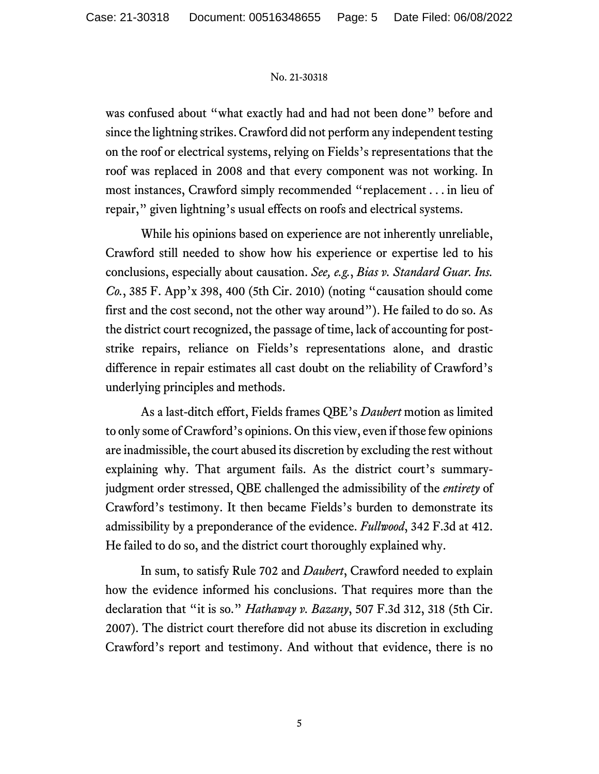was confused about "what exactly had and had not been done" before and since the lightning strikes. Crawford did not perform any independent testing on the roof or electrical systems, relying on Fields's representations that the roof was replaced in 2008 and that every component was not working. In most instances, Crawford simply recommended "replacement . . . in lieu of repair," given lightning's usual effects on roofs and electrical systems.

While his opinions based on experience are not inherently unreliable, Crawford still needed to show how his experience or expertise led to his conclusions, especially about causation. *See, e.g.*, *Bias v. Standard Guar. Ins. Co.*, 385 F. App'x 398, 400 (5th Cir. 2010) (noting "causation should come first and the cost second, not the other way around"). He failed to do so. As the district court recognized, the passage of time, lack of accounting for poststrike repairs, reliance on Fields's representations alone, and drastic difference in repair estimates all cast doubt on the reliability of Crawford's underlying principles and methods.

As a last-ditch effort, Fields frames QBE's *Daubert* motion as limited to only some of Crawford's opinions. On this view, even if those few opinions are inadmissible, the court abused its discretion by excluding the rest without explaining why. That argument fails. As the district court's summaryjudgment order stressed, QBE challenged the admissibility of the *entirety* of Crawford's testimony. It then became Fields's burden to demonstrate its admissibility by a preponderance of the evidence. *Fullwood*, 342 F.3d at 412. He failed to do so, and the district court thoroughly explained why.

In sum, to satisfy Rule 702 and *Daubert*, Crawford needed to explain how the evidence informed his conclusions. That requires more than the declaration that "it is so." *Hathaway v. Bazany*, 507 F.3d 312, 318 (5th Cir. 2007). The district court therefore did not abuse its discretion in excluding Crawford's report and testimony. And without that evidence, there is no